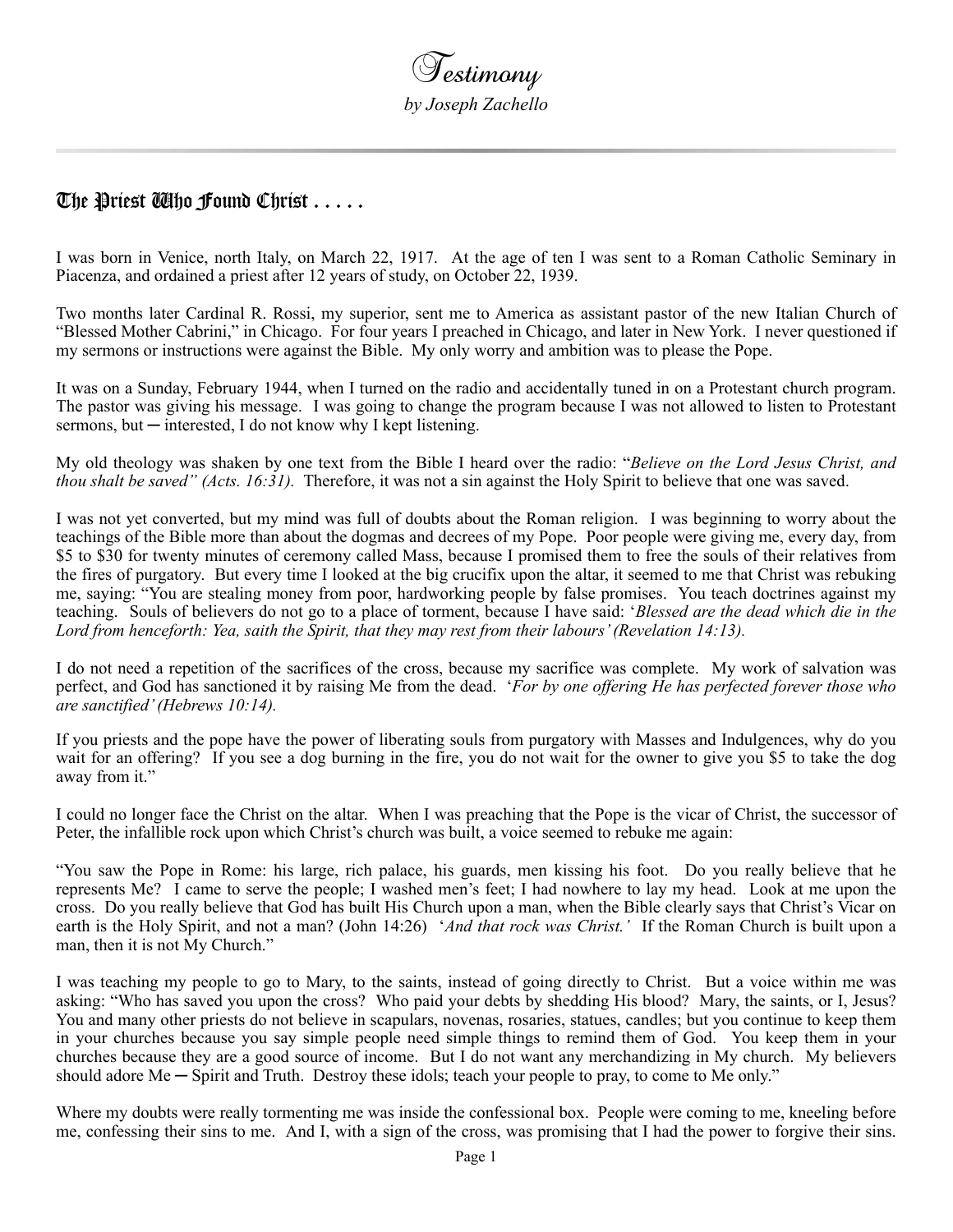## The Priest Alho Found Christ  $\ldots$  .

I was born in Venice, north Italy, on March 22, 1917. At the age of ten I was sent to a Roman Catholic Seminary in Piacenza, and ordained a priest after 12 years of study, on October 22, 1939.

Two months later Cardinal R. Rossi, my superior, sent me to America as assistant pastor of the new Italian Church of "Blessed Mother Cabrini," in Chicago. For four years I preached in Chicago, and later in New York. I never questioned if my sermons or instructions were against the Bible. My only worry and ambition was to please the Pope.

It was on a Sunday, February 1944, when I turned on the radio and accidentally tuned in on a Protestant church program. The pastor was giving his message. I was going to change the program because I was not allowed to listen to Protestant sermons, but  $-$  interested. I do not know why I kept listening.

My old theology was shaken by one text from the Bible I heard over the radio: "*Believe on the Lord Jesus Christ, and thou shalt be saved" (Acts. 16:31).* Therefore, it was not a sin against the Holy Spirit to believe that one was saved.

I was not yet converted, but my mind was full of doubts about the Roman religion. I was beginning to worry about the teachings of the Bible more than about the dogmas and decrees of my Pope. Poor people were giving me, every day, from \$5 to \$30 for twenty minutes of ceremony called Mass, because I promised them to free the souls of their relatives from the fires of purgatory. But every time I looked at the big crucifix upon the altar, it seemed to me that Christ was rebuking me, saying: "You are stealing money from poor, hardworking people by false promises. You teach doctrines against my teaching. Souls of believers do not go to a place of torment, because I have said: '*Blessed are the dead which die in the Lord from henceforth: Yea, saith the Spirit, that they may rest from their labours' (Revelation 14:13).*

I do not need a repetition of the sacrifices of the cross, because my sacrifice was complete. My work of salvation was perfect, and God has sanctioned it by raising Me from the dead. '*For by one offering He has perfected forever those who are sanctified' (Hebrews 10:14).*

If you priests and the pope have the power of liberating souls from purgatory with Masses and Indulgences, why do you wait for an offering? If you see a dog burning in the fire, you do not wait for the owner to give you \$5 to take the dog away from it."

I could no longer face the Christ on the altar. When I was preaching that the Pope is the vicar of Christ, the successor of Peter, the infallible rock upon which Christ's church was built, a voice seemed to rebuke me again:

"You saw the Pope in Rome: his large, rich palace, his guards, men kissing his foot. Do you really believe that he represents Me? I came to serve the people; I washed men's feet; I had nowhere to lay my head. Look at me upon the cross. Do you really believe that God has built His Church upon a man, when the Bible clearly says that Christ's Vicar on earth is the Holy Spirit, and not a man? (John 14:26) '*And that rock was Christ.'* If the Roman Church is built upon a man, then it is not My Church."

I was teaching my people to go to Mary, to the saints, instead of going directly to Christ. But a voice within me was asking: "Who has saved you upon the cross? Who paid your debts by shedding His blood? Mary, the saints, or I, Jesus? You and many other priests do not believe in scapulars, novenas, rosaries, statues, candles; but you continue to keep them in your churches because you say simple people need simple things to remind them of God. You keep them in your churches because they are a good source of income. But I do not want any merchandizing in My church. My believers should adore Me — Spirit and Truth. Destroy these idols; teach your people to pray, to come to Me only."

Where my doubts were really tormenting me was inside the confessional box. People were coming to me, kneeling before me, confessing their sins to me. And I, with a sign of the cross, was promising that I had the power to forgive their sins.